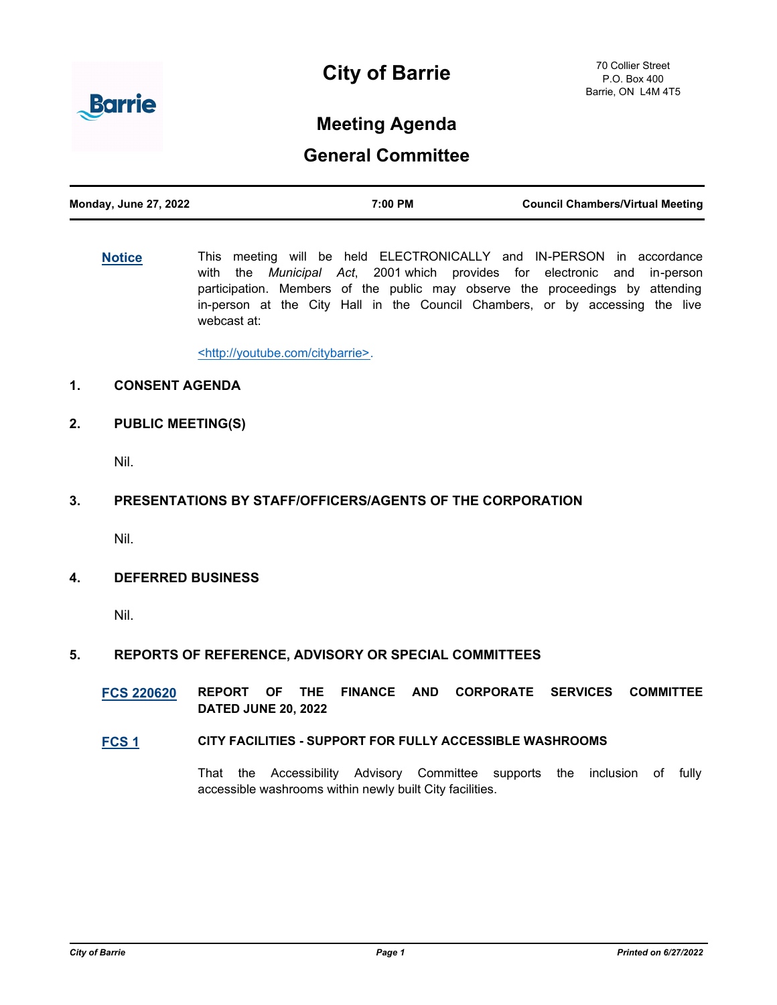



# **Meeting Agenda**

# **General Committee**

| <b>Monday, June 27, 2022</b> | 7:00 PM | <b>Council Chambers/Virtual Meeting</b> |
|------------------------------|---------|-----------------------------------------|
|                              |         |                                         |

**[Notice](http://barrie.ca.legistar.com/gateway.aspx?m=l&id=/matter.aspx?key=46586)** This meeting will be held ELECTRONICALLY and IN-PERSON in accordance with the *Municipal Act*, 2001 which provides for electronic and in-person participation. Members of the public may observe the proceedings by attending in-person at the City Hall in the Council Chambers, or by accessing the live webcast at:

<http://youtube.com/citybarrie>.

# **1. CONSENT AGENDA**

**2. PUBLIC MEETING(S)**

Nil.

# **3. PRESENTATIONS BY STAFF/OFFICERS/AGENTS OF THE CORPORATION**

Nil.

# **4. DEFERRED BUSINESS**

Nil.

# **5. REPORTS OF REFERENCE, ADVISORY OR SPECIAL COMMITTEES**

**[FCS 220620](http://barrie.ca.legistar.com/gateway.aspx?m=l&id=/matter.aspx?key=50935) REPORT OF THE FINANCE AND CORPORATE SERVICES COMMITTEE DATED JUNE 20, 2022**

# **[FCS 1](http://barrie.ca.legistar.com/gateway.aspx?m=l&id=/matter.aspx?key=50910) CITY FACILITIES - SUPPORT FOR FULLY ACCESSIBLE WASHROOMS**

That the Accessibility Advisory Committee supports the inclusion of fully accessible washrooms within newly built City facilities.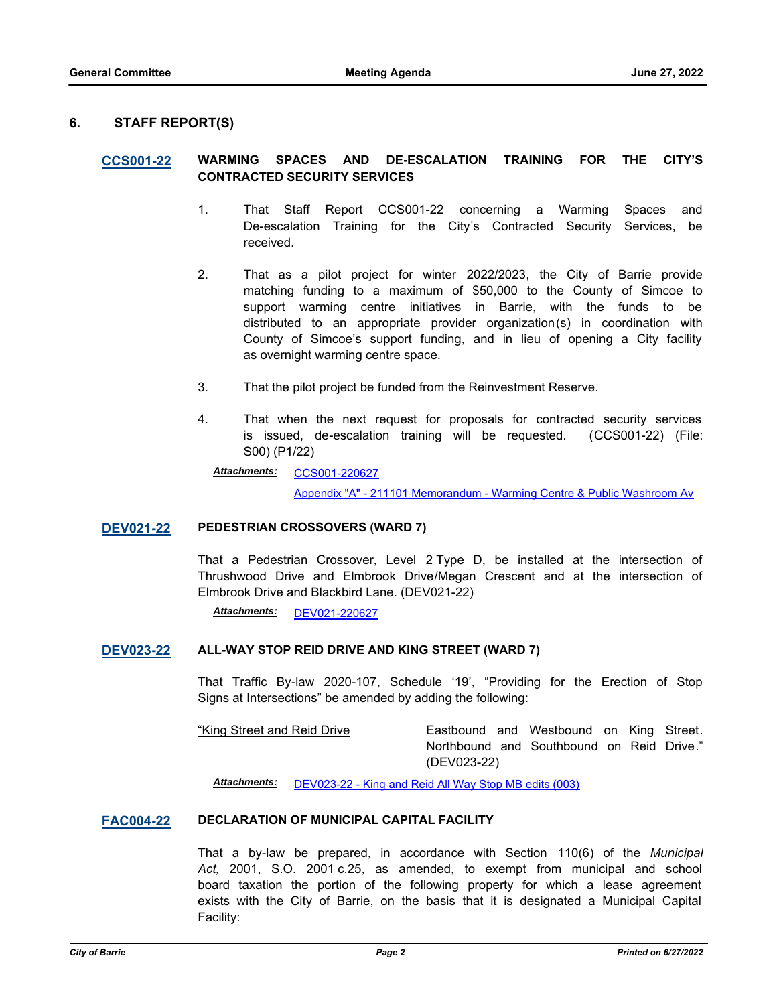## **6. STAFF REPORT(S)**

## **[CCS001-22](http://barrie.ca.legistar.com/gateway.aspx?m=l&id=/matter.aspx?key=50921) WARMING SPACES AND DE-ESCALATION TRAINING FOR THE CITY'S CONTRACTED SECURITY SERVICES**

- 1. That Staff Report CCS001-22 concerning a Warming Spaces and De-escalation Training for the City's Contracted Security Services, be received.
- 2. That as a pilot project for winter 2022/2023, the City of Barrie provide matching funding to a maximum of \$50,000 to the County of Simcoe to support warming centre initiatives in Barrie, with the funds to be distributed to an appropriate provider organization(s) in coordination with County of Simcoe's support funding, and in lieu of opening a City facility as overnight warming centre space.
- 3. That the pilot project be funded from the Reinvestment Reserve.
- 4. That when the next request for proposals for contracted security services is issued, de-escalation training will be requested. (CCS001-22) (File: S00) (P1/22)

#### [CCS001-220627](http://barrie.ca.legistar.com/gateway.aspx?M=F&ID=51c5ccad-7b03-4b0b-900e-3c93e1fd001f.pdf) *Attachments:*

[Appendix "A" - 211101 Memorandum - Warming Centre & Public Washroom Av](http://barrie.ca.legistar.com/gateway.aspx?M=F&ID=539b149d-38ea-4cc9-a6e0-79392f5f4cda.pdf)ail

#### **[DEV021-22](http://barrie.ca.legistar.com/gateway.aspx?m=l&id=/matter.aspx?key=50843) PEDESTRIAN CROSSOVERS (WARD 7)**

That a Pedestrian Crossover, Level 2 Type D, be installed at the intersection of Thrushwood Drive and Elmbrook Drive/Megan Crescent and at the intersection of Elmbrook Drive and Blackbird Lane. (DEV021-22)

*Attachments:* [DEV021-220627](http://barrie.ca.legistar.com/gateway.aspx?M=F&ID=8cbd5507-f3b3-4fb1-b412-78a8c708ec79.pdf)

#### **[DEV023-22](http://barrie.ca.legistar.com/gateway.aspx?m=l&id=/matter.aspx?key=50917) ALL-WAY STOP REID DRIVE AND KING STREET (WARD 7)**

That Traffic By-law 2020-107, Schedule '19', "Providing for the Erection of Stop Signs at Intersections" be amended by adding the following:

"King Street and Reid Drive Eastbound and Westbound on King Street. Northbound and Southbound on Reid Drive." (DEV023-22)

*Attachments:* [DEV023-22 - King and Reid All Way Stop MB edits \(003\)](http://barrie.ca.legistar.com/gateway.aspx?M=F&ID=032b2d25-7082-41f6-b616-56c126578e74.docx)

#### **[FAC004-22](http://barrie.ca.legistar.com/gateway.aspx?m=l&id=/matter.aspx?key=50858) DECLARATION OF MUNICIPAL CAPITAL FACILITY**

That a by-law be prepared, in accordance with Section 110(6) of the *Municipal Act,* 2001, S.O. 2001 c.25, as amended, to exempt from municipal and school board taxation the portion of the following property for which a lease agreement exists with the City of Barrie, on the basis that it is designated a Municipal Capital Facility: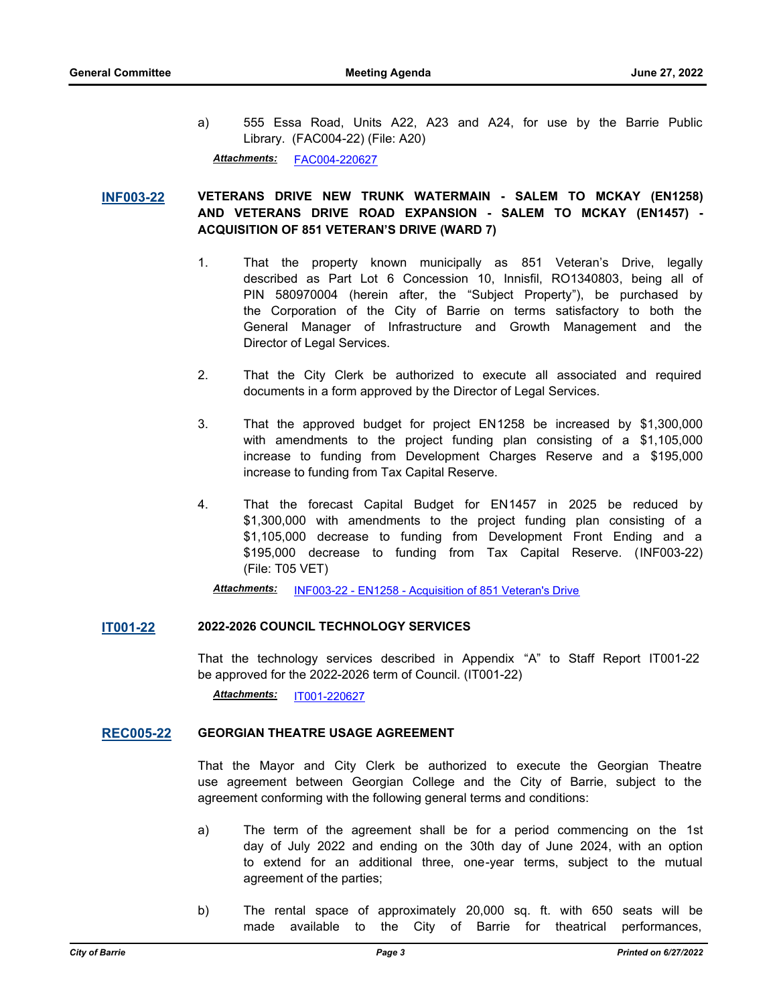a) 555 Essa Road, Units A22, A23 and A24, for use by the Barrie Public Library. (FAC004-22) (File: A20)

*Attachments:* [FAC004-220627](http://barrie.ca.legistar.com/gateway.aspx?M=F&ID=98323f54-ddad-4962-a2f1-b4706911be1d.pdf)

# **[INF003-22](http://barrie.ca.legistar.com/gateway.aspx?m=l&id=/matter.aspx?key=50923) VETERANS DRIVE NEW TRUNK WATERMAIN - SALEM TO MCKAY (EN1258) AND VETERANS DRIVE ROAD EXPANSION - SALEM TO MCKAY (EN1457) - ACQUISITION OF 851 VETERAN'S DRIVE (WARD 7)**

- 1. That the property known municipally as 851 Veteran's Drive, legally described as Part Lot 6 Concession 10, Innisfil, RO1340803, being all of PIN 580970004 (herein after, the "Subject Property"), be purchased by the Corporation of the City of Barrie on terms satisfactory to both the General Manager of Infrastructure and Growth Management and the Director of Legal Services.
- 2. That the City Clerk be authorized to execute all associated and required documents in a form approved by the Director of Legal Services.
- 3. That the approved budget for project EN1258 be increased by \$1,300,000 with amendments to the project funding plan consisting of a \$1,105,000 increase to funding from Development Charges Reserve and a \$195,000 increase to funding from Tax Capital Reserve.
- 4. That the forecast Capital Budget for EN1457 in 2025 be reduced by \$1,300,000 with amendments to the project funding plan consisting of a \$1,105,000 decrease to funding from Development Front Ending and a \$195,000 decrease to funding from Tax Capital Reserve. (INF003-22) (File: T05 VET)

*Attachments:* [INF003-22 - EN1258 - Acquisition of 851 Veteran's Drive](http://barrie.ca.legistar.com/gateway.aspx?M=F&ID=5085c370-8b3d-45e8-b17a-d6f0bbb25038.docx)

#### **[IT001-22](http://barrie.ca.legistar.com/gateway.aspx?m=l&id=/matter.aspx?key=50846) 2022-2026 COUNCIL TECHNOLOGY SERVICES**

That the technology services described in Appendix "A" to Staff Report IT001-22 be approved for the 2022-2026 term of Council. (IT001-22)

*Attachments:* [IT001-220627](http://barrie.ca.legistar.com/gateway.aspx?M=F&ID=da2b9d1b-8d3c-440a-b002-ded18c0fae47.pdf)

#### **[REC005-22](http://barrie.ca.legistar.com/gateway.aspx?m=l&id=/matter.aspx?key=50922) GEORGIAN THEATRE USAGE AGREEMENT**

That the Mayor and City Clerk be authorized to execute the Georgian Theatre use agreement between Georgian College and the City of Barrie, subject to the agreement conforming with the following general terms and conditions:

- a) The term of the agreement shall be for a period commencing on the 1st day of July 2022 and ending on the 30th day of June 2024, with an option to extend for an additional three, one-year terms, subject to the mutual agreement of the parties;
- b) The rental space of approximately 20,000 sq. ft. with 650 seats will be made available to the City of Barrie for theatrical performances,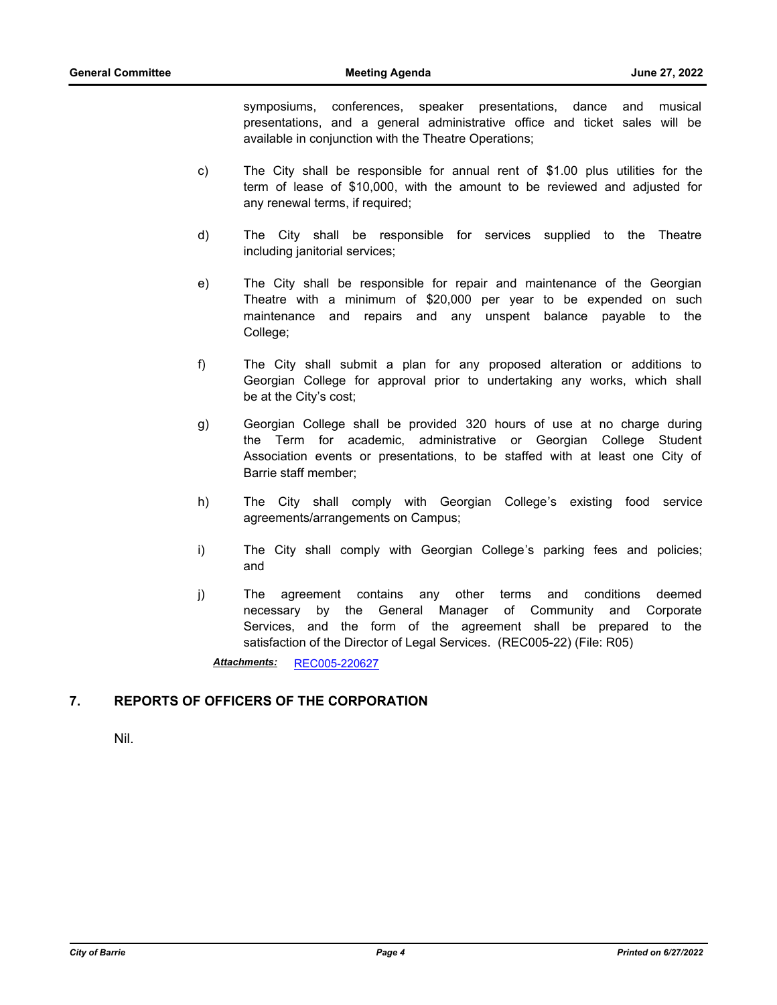symposiums, conferences, speaker presentations, dance and musical presentations, and a general administrative office and ticket sales will be available in conjunction with the Theatre Operations;

- c) The City shall be responsible for annual rent of \$1.00 plus utilities for the term of lease of \$10,000, with the amount to be reviewed and adjusted for any renewal terms, if required;
- d) The City shall be responsible for services supplied to the Theatre including janitorial services;
- e) The City shall be responsible for repair and maintenance of the Georgian Theatre with a minimum of \$20,000 per year to be expended on such maintenance and repairs and any unspent balance payable to the College;
- f) The City shall submit a plan for any proposed alteration or additions to Georgian College for approval prior to undertaking any works, which shall be at the City's cost;
- g) Georgian College shall be provided 320 hours of use at no charge during the Term for academic, administrative or Georgian College Student Association events or presentations, to be staffed with at least one City of Barrie staff member;
- h) The City shall comply with Georgian College's existing food service agreements/arrangements on Campus;
- i) The City shall comply with Georgian College's parking fees and policies; and
- j) The agreement contains any other terms and conditions deemed necessary by the General Manager of Community and Corporate Services, and the form of the agreement shall be prepared to the satisfaction of the Director of Legal Services. (REC005-22) (File: R05)

*Attachments:* [REC005-220627](http://barrie.ca.legistar.com/gateway.aspx?M=F&ID=cc056920-c7be-4002-9ca1-42d68390c96f.pdf)

# **7. REPORTS OF OFFICERS OF THE CORPORATION**

Nil.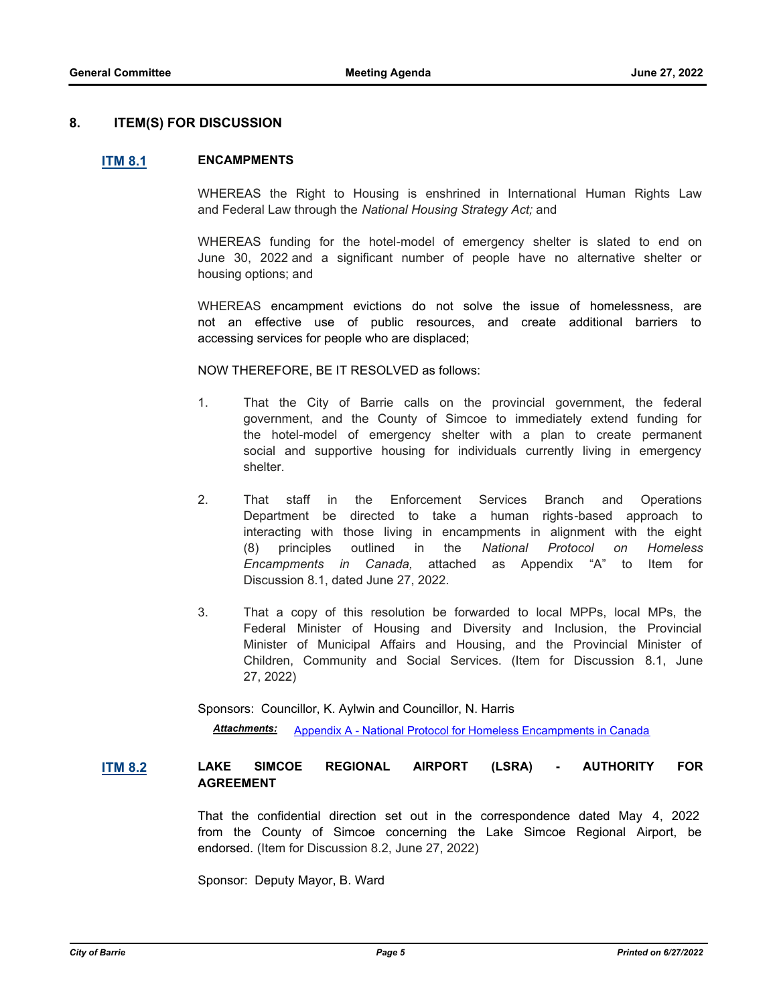## **8. ITEM(S) FOR DISCUSSION**

#### **[ITM 8.1](http://barrie.ca.legistar.com/gateway.aspx?m=l&id=/matter.aspx?key=50924) ENCAMPMENTS**

WHEREAS the Right to Housing is enshrined in International Human Rights Law and Federal Law through the *National Housing Strategy Act;* and

WHEREAS funding for the hotel-model of emergency shelter is slated to end on June 30, 2022 and a significant number of people have no alternative shelter or housing options; and

WHEREAS encampment evictions do not solve the issue of homelessness, are not an effective use of public resources, and create additional barriers to accessing services for people who are displaced;

NOW THEREFORE, BE IT RESOLVED as follows:

- 1. That the City of Barrie calls on the provincial government, the federal government, and the County of Simcoe to immediately extend funding for the hotel-model of emergency shelter with a plan to create permanent social and supportive housing for individuals currently living in emergency shelter.
- 2. That staff in the Enforcement Services Branch and Operations Department be directed to take a human rights-based approach to interacting with those living in encampments in alignment with the eight (8) principles outlined in the *National Protocol on Homeless Encampments in Canada,* attached as Appendix "A" to Item for Discussion 8.1, dated June 27, 2022.
- 3. That a copy of this resolution be forwarded to local MPPs, local MPs, the Federal Minister of Housing and Diversity and Inclusion, the Provincial Minister of Municipal Affairs and Housing, and the Provincial Minister of Children, Community and Social Services. (Item for Discussion 8.1, June 27, 2022)

Sponsors: Councillor, K. Aylwin and Councillor, N. Harris

*Attachments:* [Appendix A - National Protocol for Homeless Encampments in Canada](http://barrie.ca.legistar.com/gateway.aspx?M=F&ID=9bc56da1-de47-4054-8f99-ef416382ec81.pdf)

# **[ITM 8.2](http://barrie.ca.legistar.com/gateway.aspx?m=l&id=/matter.aspx?key=50925) LAKE SIMCOE REGIONAL AIRPORT (LSRA) - AUTHORITY FOR AGREEMENT**

That the confidential direction set out in the correspondence dated May 4, 2022 from the County of Simcoe concerning the Lake Simcoe Regional Airport, be endorsed. (Item for Discussion 8.2, June 27, 2022)

Sponsor: Deputy Mayor, B. Ward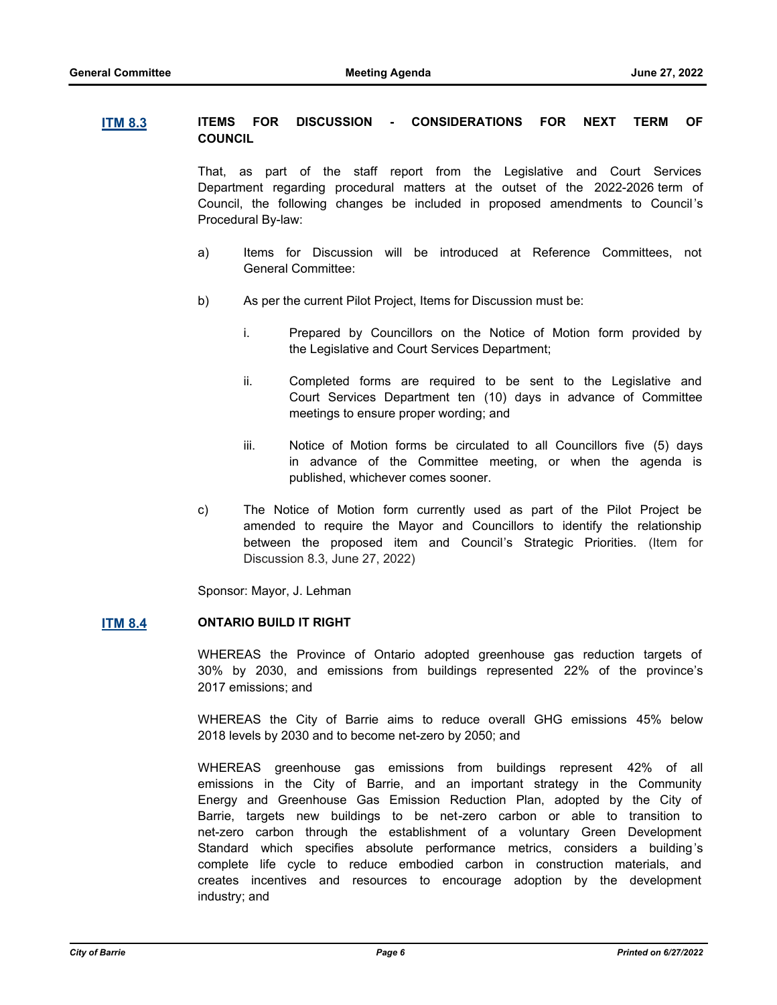## **[ITM 8.3](http://barrie.ca.legistar.com/gateway.aspx?m=l&id=/matter.aspx?key=50926) ITEMS FOR DISCUSSION - CONSIDERATIONS FOR NEXT TERM OF COUNCIL**

That, as part of the staff report from the Legislative and Court Services Department regarding procedural matters at the outset of the 2022-2026 term of Council, the following changes be included in proposed amendments to Council 's Procedural By-law:

- a) Items for Discussion will be introduced at Reference Committees, not General Committee:
- b) As per the current Pilot Project, Items for Discussion must be:
	- i. Prepared by Councillors on the Notice of Motion form provided by the Legislative and Court Services Department;
	- ii. Completed forms are required to be sent to the Legislative and Court Services Department ten (10) days in advance of Committee meetings to ensure proper wording; and
	- iii. Notice of Motion forms be circulated to all Councillors five (5) days in advance of the Committee meeting, or when the agenda is published, whichever comes sooner.
- c) The Notice of Motion form currently used as part of the Pilot Project be amended to require the Mayor and Councillors to identify the relationship between the proposed item and Council's Strategic Priorities. (Item for Discussion 8.3, June 27, 2022)

Sponsor: Mayor, J. Lehman

## **[ITM 8.4](http://barrie.ca.legistar.com/gateway.aspx?m=l&id=/matter.aspx?key=50927) ONTARIO BUILD IT RIGHT**

WHEREAS the Province of Ontario adopted greenhouse gas reduction targets of 30% by 2030, and emissions from buildings represented 22% of the province's 2017 emissions; and

WHEREAS the City of Barrie aims to reduce overall GHG emissions 45% below 2018 levels by 2030 and to become net-zero by 2050; and

WHEREAS greenhouse gas emissions from buildings represent 42% of all emissions in the City of Barrie, and an important strategy in the Community Energy and Greenhouse Gas Emission Reduction Plan, adopted by the City of Barrie, targets new buildings to be net-zero carbon or able to transition to net-zero carbon through the establishment of a voluntary Green Development Standard which specifies absolute performance metrics, considers a building's complete life cycle to reduce embodied carbon in construction materials, and creates incentives and resources to encourage adoption by the development industry; and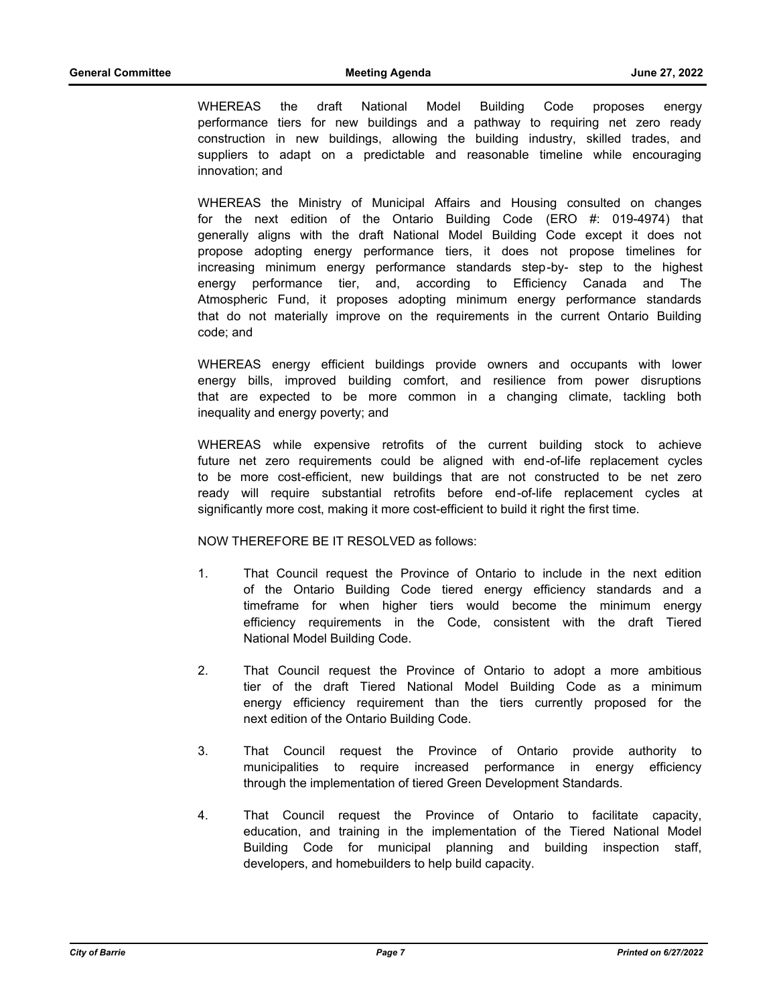WHEREAS the draft National Model Building Code proposes energy performance tiers for new buildings and a pathway to requiring net zero ready construction in new buildings, allowing the building industry, skilled trades, and suppliers to adapt on a predictable and reasonable timeline while encouraging innovation; and

WHEREAS the Ministry of Municipal Affairs and Housing consulted on changes for the next edition of the Ontario Building Code (ERO #: 019-4974) that generally aligns with the draft National Model Building Code except it does not propose adopting energy performance tiers, it does not propose timelines for increasing minimum energy performance standards step-by- step to the highest energy performance tier, and, according to Efficiency Canada and The Atmospheric Fund, it proposes adopting minimum energy performance standards that do not materially improve on the requirements in the current Ontario Building code; and

WHEREAS energy efficient buildings provide owners and occupants with lower energy bills, improved building comfort, and resilience from power disruptions that are expected to be more common in a changing climate, tackling both inequality and energy poverty; and

WHEREAS while expensive retrofits of the current building stock to achieve future net zero requirements could be aligned with end-of-life replacement cycles to be more cost-efficient, new buildings that are not constructed to be net zero ready will require substantial retrofits before end-of-life replacement cycles at significantly more cost, making it more cost-efficient to build it right the first time.

#### NOW THEREFORE BE IT RESOLVED as follows:

- 1. That Council request the Province of Ontario to include in the next edition of the Ontario Building Code tiered energy efficiency standards and a timeframe for when higher tiers would become the minimum energy efficiency requirements in the Code, consistent with the draft Tiered National Model Building Code.
- 2. That Council request the Province of Ontario to adopt a more ambitious tier of the draft Tiered National Model Building Code as a minimum energy efficiency requirement than the tiers currently proposed for the next edition of the Ontario Building Code.
- 3. That Council request the Province of Ontario provide authority to municipalities to require increased performance in energy efficiency through the implementation of tiered Green Development Standards.
- 4. That Council request the Province of Ontario to facilitate capacity, education, and training in the implementation of the Tiered National Model Building Code for municipal planning and building inspection staff, developers, and homebuilders to help build capacity.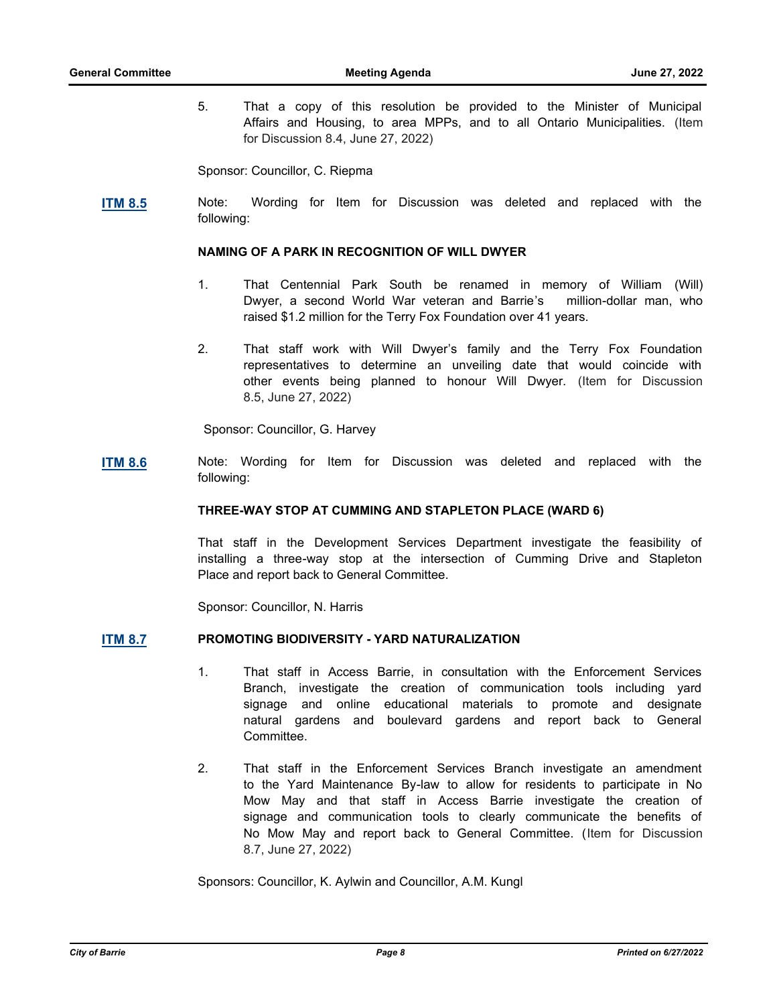5. That a copy of this resolution be provided to the Minister of Municipal Affairs and Housing, to area MPPs, and to all Ontario Municipalities. (Item for Discussion 8.4, June 27, 2022)

Sponsor: Councillor, C. Riepma

**[ITM 8.5](http://barrie.ca.legistar.com/gateway.aspx?m=l&id=/matter.aspx?key=50928)** Note: Wording for Item for Discussion was deleted and replaced with the following:

#### **NAMING OF A PARK IN RECOGNITION OF WILL DWYER**

- 1. That Centennial Park South be renamed in memory of William (Will) Dwyer, a second World War veteran and Barrie's million-dollar man, who raised \$1.2 million for the Terry Fox Foundation over 41 years.
- 2. That staff work with Will Dwyer's family and the Terry Fox Foundation representatives to determine an unveiling date that would coincide with other events being planned to honour Will Dwyer. (Item for Discussion 8.5, June 27, 2022)

Sponsor: Councillor, G. Harvey

**[ITM 8.6](http://barrie.ca.legistar.com/gateway.aspx?m=l&id=/matter.aspx?key=50929)** Note: Wording for Item for Discussion was deleted and replaced with the following:

## **THREE-WAY STOP AT CUMMING AND STAPLETON PLACE (WARD 6)**

That staff in the Development Services Department investigate the feasibility of installing a three-way stop at the intersection of Cumming Drive and Stapleton Place and report back to General Committee.

Sponsor: Councillor, N. Harris

## **[ITM 8.7](http://barrie.ca.legistar.com/gateway.aspx?m=l&id=/matter.aspx?key=50888) PROMOTING BIODIVERSITY - YARD NATURALIZATION**

- 1. That staff in Access Barrie, in consultation with the Enforcement Services Branch, investigate the creation of communication tools including yard signage and online educational materials to promote and designate natural gardens and boulevard gardens and report back to General Committee.
- 2. That staff in the Enforcement Services Branch investigate an amendment to the Yard Maintenance By-law to allow for residents to participate in No Mow May and that staff in Access Barrie investigate the creation of signage and communication tools to clearly communicate the benefits of No Mow May and report back to General Committee. (Item for Discussion 8.7, June 27, 2022)

Sponsors: Councillor, K. Aylwin and Councillor, A.M. Kungl